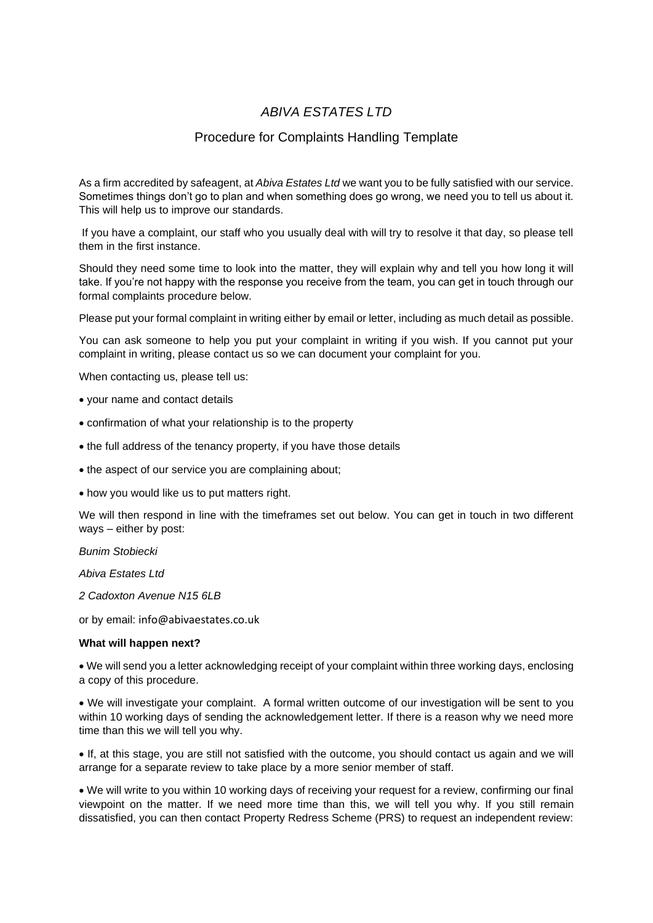## *ABIVA ESTATES LTD*

## Procedure for Complaints Handling Template

As a firm accredited by safeagent, at *Abiva Estates Ltd* we want you to be fully satisfied with our service. Sometimes things don't go to plan and when something does go wrong, we need you to tell us about it. This will help us to improve our standards.

If you have a complaint, our staff who you usually deal with will try to resolve it that day, so please tell them in the first instance.

Should they need some time to look into the matter, they will explain why and tell you how long it will take. If you're not happy with the response you receive from the team, you can get in touch through our formal complaints procedure below.

Please put your formal complaint in writing either by email or letter, including as much detail as possible.

You can ask someone to help you put your complaint in writing if you wish. If you cannot put your complaint in writing, please contact us so we can document your complaint for you.

When contacting us, please tell us:

- your name and contact details
- confirmation of what your relationship is to the property
- the full address of the tenancy property, if you have those details
- the aspect of our service you are complaining about;
- how you would like us to put matters right.

We will then respond in line with the timeframes set out below. You can get in touch in two different ways – either by post:

*Bunim Stobiecki*

*Abiva Estates Ltd*

*2 Cadoxton Avenue N15 6LB*

or by email: info@abivaestates.co.uk

## **What will happen next?**

• We will send you a letter acknowledging receipt of your complaint within three working days, enclosing a copy of this procedure.

• We will investigate your complaint. A formal written outcome of our investigation will be sent to you within 10 working days of sending the acknowledgement letter. If there is a reason why we need more time than this we will tell you why.

• If, at this stage, you are still not satisfied with the outcome, you should contact us again and we will arrange for a separate review to take place by a more senior member of staff.

• We will write to you within 10 working days of receiving your request for a review, confirming our final viewpoint on the matter. If we need more time than this, we will tell you why. If you still remain dissatisfied, you can then contact Property Redress Scheme (PRS) to request an independent review: